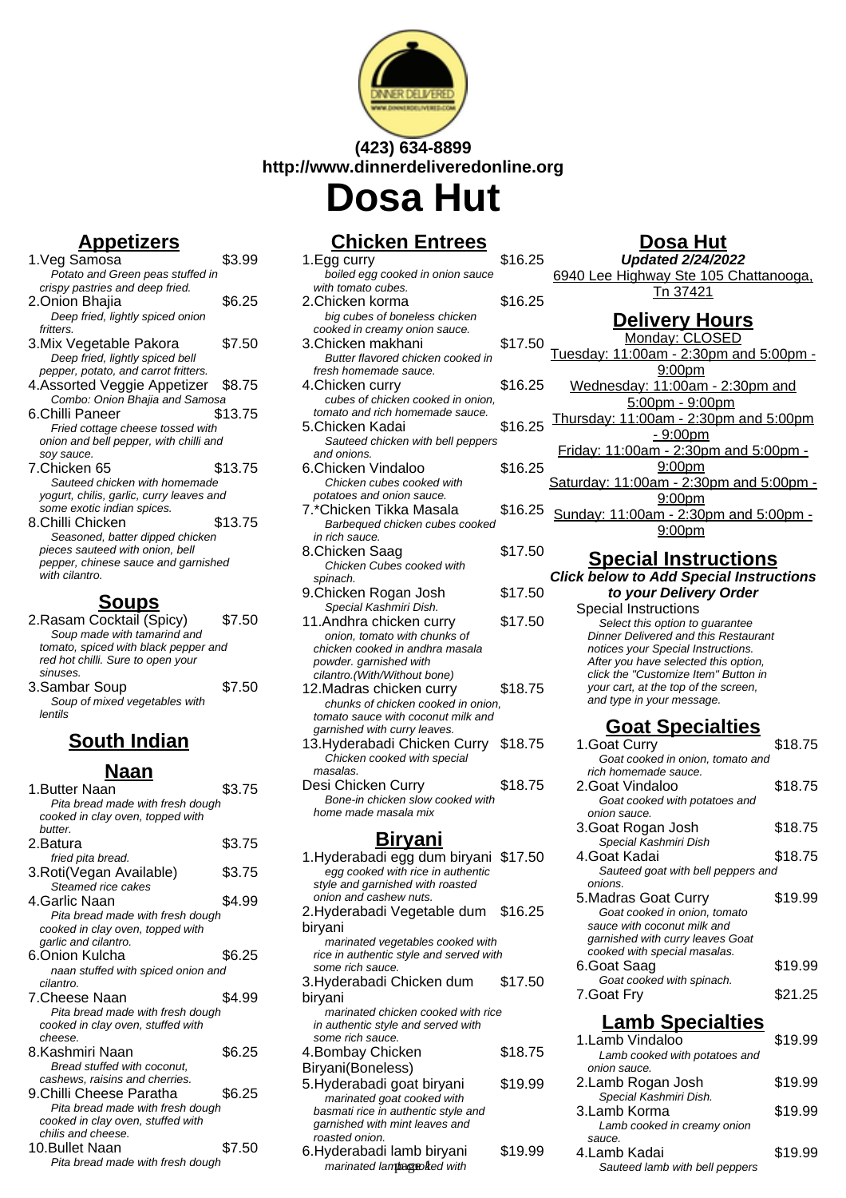

## **(423) 634-8899 http://www.dinnerdeliveredonline.org Dosa Hut**

## **Appetizers**

1. Veg Samosa \$3.99 Potato and Green peas stuffed in crispy pastries and deep fried. 2.Onion Bhajia \$6.25 Deep fried, lightly spiced onion fritters<sup>'</sup> 3. Mix Vegetable Pakora \$7.50 Deep fried, lightly spiced bell pepper, potato, and carrot fritters. 4.Assorted Veggie Appetizer \$8.75 Combo: Onion Bhajia and Samosa 6.Chilli Paneer \$13.75 Fried cottage cheese tossed with onion and bell pepper, with chilli and soy sauce. 7.Chicken 65 \$13.75 Sauteed chicken with homemade yogurt, chilis, garlic, curry leaves and some exotic indian spices. 8.Chilli Chicken \$13.75 Seasoned, batter dipped chicken pieces sauteed with onion, bell pepper, chinese sauce and garnished with cilantro.

#### **Soups**

- 2.Rasam Cocktail (Spicy) \$7.50 Soup made with tamarind and tomato, spiced with black pepper and red hot chilli. Sure to open your sinuses. 3.Sambar Soup \$7.50
- Soup of mixed vegetables with lentils

## **South Indian**

| Naan                               |        |
|------------------------------------|--------|
| 1.Butter Naan                      | \$3.75 |
| Pita bread made with fresh dough   |        |
| cooked in clay oven, topped with   |        |
| <b>butter</b>                      |        |
| 2.Batura                           | \$3.75 |
| fried pita bread.                  |        |
| 3. Roti(Vegan Available)           | \$3.75 |
| Steamed rice cakes                 |        |
| 4 Garlic Naan                      | \$4.99 |
| Pita bread made with fresh dough   |        |
| cooked in clay oven, topped with   |        |
| garlic and cilantro.               |        |
| 6.Onion Kulcha                     | \$6.25 |
| naan stuffed with spiced onion and |        |
| cilantro.                          |        |
| 7 Cheese Naan                      | \$4.99 |
| Pita bread made with fresh dough   |        |
| cooked in clay oven, stuffed with  |        |
| cheese.                            |        |
| 8 Kashmiri Naan                    | \$6.25 |
| Bread stuffed with coconut,        |        |
| cashews, raisins and cherries.     |        |
| 9.Chilli Cheese Paratha            | \$6.25 |
| Pita bread made with fresh dough   |        |
| cooked in clay oven, stuffed with  |        |
| chilis and cheese.                 |        |
| 10.Bullet Naan                     | \$7.50 |
| Pita bread made with fresh dough   |        |

# **Chicken Entrees**

| 1.Egg curry                                                                | \$16.25 |  |
|----------------------------------------------------------------------------|---------|--|
| boiled egg cooked in onion sauce                                           |         |  |
| with tomato cubes.                                                         |         |  |
| 2.Chicken korma                                                            | \$16.25 |  |
| big cubes of boneless chicken                                              |         |  |
| cooked in creamy onion sauce.<br>3.Chicken makhani                         | \$17.50 |  |
| Butter flavored chicken cooked in                                          |         |  |
| fresh homemade sauce.                                                      |         |  |
| 4.Chicken curry                                                            | \$16.25 |  |
| cubes of chicken cooked in onion,                                          |         |  |
| tomato and rich homemade sauce.                                            |         |  |
| 5.Chicken Kadai                                                            | \$16.25 |  |
| Sauteed chicken with bell peppers                                          |         |  |
| and onions.                                                                |         |  |
| 6.Chicken Vindaloo                                                         | \$16.25 |  |
| Chicken cubes cooked with                                                  |         |  |
| potatoes and onion sauce.                                                  |         |  |
| 7.*Chicken Tikka Masala                                                    | \$16.25 |  |
| Barbequed chicken cubes cooked                                             |         |  |
| in rich sauce.                                                             |         |  |
| 8.Chicken Saag                                                             | \$17.50 |  |
| Chicken Cubes cooked with                                                  |         |  |
| spinach.                                                                   |         |  |
| 9.Chicken Rogan Josh                                                       | \$17.50 |  |
| Special Kashmiri Dish.                                                     |         |  |
| 11.Andhra chicken curry                                                    | \$17.50 |  |
| onion, tomato with chunks of<br>chicken cooked in andhra masala            |         |  |
| powder. garnished with                                                     |         |  |
| cilantro.(With/Without bone)                                               |         |  |
| 12. Madras chicken curry                                                   | \$18.75 |  |
| chunks of chicken cooked in onion.                                         |         |  |
| tomato sauce with coconut milk and                                         |         |  |
| garnished with curry leaves.                                               |         |  |
| 13.Hyderabadi Chicken Curry                                                | \$18.75 |  |
| Chicken cooked with special                                                |         |  |
| masalas.                                                                   |         |  |
| Desi Chicken Curry                                                         | \$18.75 |  |
| Bone-in chicken slow cooked with                                           |         |  |
| home made masala mix                                                       |         |  |
| <u>Biryani</u>                                                             |         |  |
|                                                                            |         |  |
| 1. Hyderabadi egg dum biryani \$17.50<br>egg cooked with rice in authentic |         |  |
| style and garnished with roasted                                           |         |  |
| onion and cashew nuts.                                                     |         |  |
| 2 Hyderabadi Vegetable dum _ \$16 25                                       |         |  |

2.Hyderabadi Vegetable dum biryani \$16.25 marinated vegetables cooked with rice in authentic style and served with some rich sauce. 3.Hyderabadi Chicken dum biryani \$17.50 marinated chicken cooked with rice in authentic style and served with some rich sauce. 4.Bombay Chicken Biryani(Boneless) \$18.75

- 5.Hyderabadi goat biryani \$19.99 marinated goat cooked with basmati rice in authentic style and garnished with mint leaves and roasted onion.
- 6.Hyderabadi lamb biryani \$19.99 marinated lambaggoked with

## **Dosa Hut**

| <b>Updated 2/24/2022</b>              |
|---------------------------------------|
| 6940 Lee Highway Ste 105 Chattanooga, |
| Tn 37421                              |
| <b>B.U. S. U. S.</b>                  |

#### **Delivery Hours**

Monday: CLOSED Tuesday: 11:00am - 2:30pm and 5:00pm - 9:00pm Wednesday: 11:00am - 2:30pm and 5:00pm - 9:00pm Thursday: 11:00am - 2:30pm and 5:00pm - 9:00pm Friday: 11:00am - 2:30pm and 5:00pm - 9:00pm Saturday: 11:00am - 2:30pm and 5:00pm -9:00pm Sunday: 11:00am - 2:30pm and 5:00pm - 9:00pm

#### **Special Instructions Click below to Add Special Instructions to your Delivery Order**

Special Instructions Select this option to quarantee Dinner Delivered and this Restaurant notices your Special Instructions. After you have selected this option, click the "Customize Item" Button in your cart, at the top of the screen, and type in your message.

## **Goat Specialties**

| 1. Goat Curry                          | \$18.75 |
|----------------------------------------|---------|
| Goat cooked in onion, tomato and       |         |
| rich homemade sauce.                   |         |
| 2.Goat Vindaloo                        | \$18.75 |
| Goat cooked with potatoes and          |         |
| onion sauce.                           |         |
| 3.Goat Rogan Josh                      | \$18.75 |
| Special Kashmiri Dish                  |         |
| 4.Goat Kadai                           | \$18.75 |
| Sauteed goat with bell peppers and     |         |
| onions.                                |         |
| 5. Madras Goat Curry                   | \$19.99 |
| Goat cooked in onion, tomato           |         |
| sauce with coconut milk and            |         |
| garnished with curry leaves Goat       |         |
| cooked with special masalas.           |         |
| 6.Goat Saag                            | \$19.99 |
| Goat cooked with spinach.              |         |
| 7.Goat Fry                             | \$21.25 |
| <b>Lamb Specialties</b>                |         |
| 1 Lamb Vindaloo                        | \$19.99 |
| Lamb cooked with potatoes and          |         |
| onion sauce.                           |         |
|                                        | \$19.99 |
| 2.Lamb Rogan Josh                      |         |
| Special Kashmiri Dish.<br>3.Lamb Korma |         |
|                                        | \$19.99 |
| Lamb cooked in creamy onion            |         |
| sauce.<br>4.Lamb Kadai                 |         |
|                                        | \$19.99 |

Sauteed lamb with bell peppers